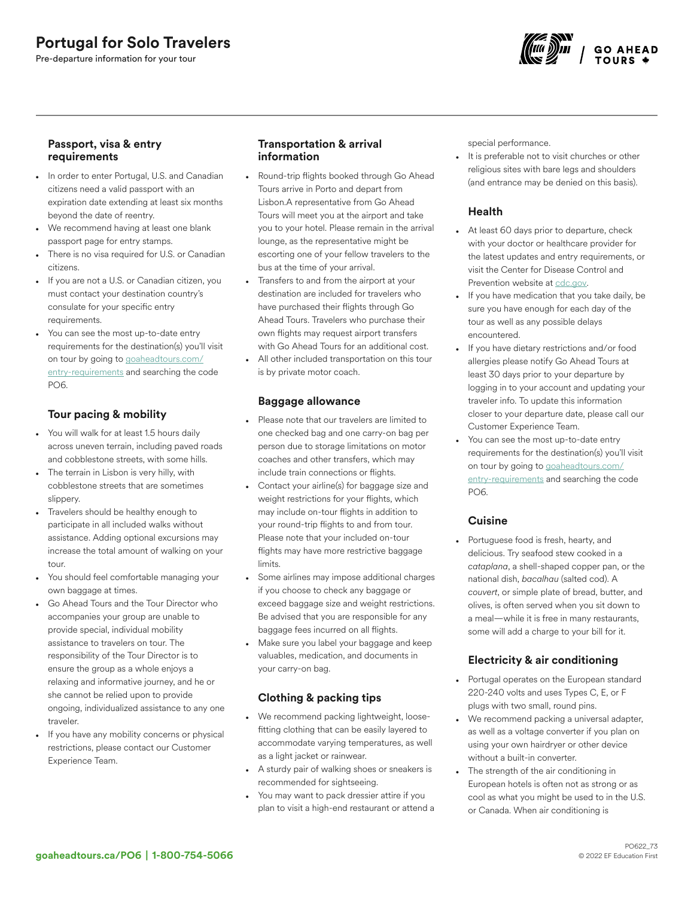# Portugal for Solo Travelers

Pre-departure information for your tour



## Passport, visa & entry requirements

- In order to enter Portugal, U.S. and Canadian citizens need a valid passport with an expiration date extending at least six months beyond the date of reentry.
- We recommend having at least one blank passport page for entry stamps.
- There is no visa required for U.S. or Canadian citizens.
- If you are not a U.S. or Canadian citizen, you must contact your destination country's consulate for your specific entry requirements.
- You can see the most up-to-date entry requirements for the destination(s) you'll visit on tour by going to [goaheadtours.com/](/entry-requirements?tourCode=PO6) [entry-requirements](/entry-requirements?tourCode=PO6) and searching the code PO6.

## Tour pacing & mobility

- You will walk for at least 1.5 hours daily across uneven terrain, including paved roads and cobblestone streets, with some hills.
- The terrain in Lisbon is very hilly, with cobblestone streets that are sometimes slippery.
- Travelers should be healthy enough to participate in all included walks without assistance. Adding optional excursions may increase the total amount of walking on your tour.
- You should feel comfortable managing your own baggage at times.
- Go Ahead Tours and the Tour Director who accompanies your group are unable to provide special, individual mobility assistance to travelers on tour. The responsibility of the Tour Director is to ensure the group as a whole enjoys a relaxing and informative journey, and he or she cannot be relied upon to provide ongoing, individualized assistance to any one traveler.
- If you have any mobility concerns or physical restrictions, please contact our Customer Experience Team.

## Transportation & arrival information

- Round-trip flights booked through Go Ahead Tours arrive in Porto and depart from Lisbon.A representative from Go Ahead Tours will meet you at the airport and take you to your hotel. Please remain in the arrival lounge, as the representative might be escorting one of your fellow travelers to the bus at the time of your arrival.
- Transfers to and from the airport at your destination are included for travelers who have purchased their flights through Go Ahead Tours. Travelers who purchase their own flights may request airport transfers with Go Ahead Tours for an additional cost.
- All other included transportation on this tour is by private motor coach.

### Baggage allowance

- Please note that our travelers are limited to one checked bag and one carry-on bag per person due to storage limitations on motor coaches and other transfers, which may include train connections or flights.
- Contact your airline(s) for baggage size and weight restrictions for your flights, which may include on-tour flights in addition to your round-trip flights to and from tour. Please note that your included on-tour flights may have more restrictive baggage limits.
- Some airlines may impose additional charges if you choose to check any baggage or exceed baggage size and weight restrictions. Be advised that you are responsible for any baggage fees incurred on all flights.
- Make sure you label your baggage and keep valuables, medication, and documents in your carry-on bag.

## Clothing & packing tips

- We recommend packing lightweight, loosefitting clothing that can be easily layered to accommodate varying temperatures, as well as a light jacket or rainwear.
- A sturdy pair of walking shoes or sneakers is recommended for sightseeing.
- You may want to pack dressier attire if you plan to visit a high-end restaurant or attend a

special performance.

It is preferable not to visit churches or other religious sites with bare legs and shoulders (and entrance may be denied on this basis).

## Health

- At least 60 days prior to departure, check with your doctor or healthcare provider for the latest updates and entry requirements, or visit the Center for Disease Control and Prevention website at [cdc.gov.](https://www.cdc.gov/)
- If you have medication that you take daily, be sure you have enough for each day of the tour as well as any possible delays encountered.
- If you have dietary restrictions and/or food allergies please notify Go Ahead Tours at least 30 days prior to your departure by logging in to your account and updating your traveler info. To update this information closer to your departure date, please call our Customer Experience Team.
- You can see the most up-to-date entry requirements for the destination(s) you'll visit on tour by going to [goaheadtours.com/](/entry-requirements?tourCode=PO6) [entry-requirements](/entry-requirements?tourCode=PO6) and searching the code PO6.

## **Cuisine**

• Portuguese food is fresh, hearty, and delicious. Try seafood stew cooked in a *cataplana*, a shell-shaped copper pan, or the national dish, *bacalhau* (salted cod). A *couvert*, or simple plate of bread, butter, and olives, is often served when you sit down to a meal—while it is free in many restaurants, some will add a charge to your bill for it.

## Electricity & air conditioning

- Portugal operates on the European standard 220-240 volts and uses Types C, E, or F plugs with two small, round pins.
- We recommend packing a universal adapter, as well as a voltage converter if you plan on using your own hairdryer or other device without a built-in converter.
- The strength of the air conditioning in European hotels is often not as strong or as cool as what you might be used to in the U.S. or Canada. When air conditioning is